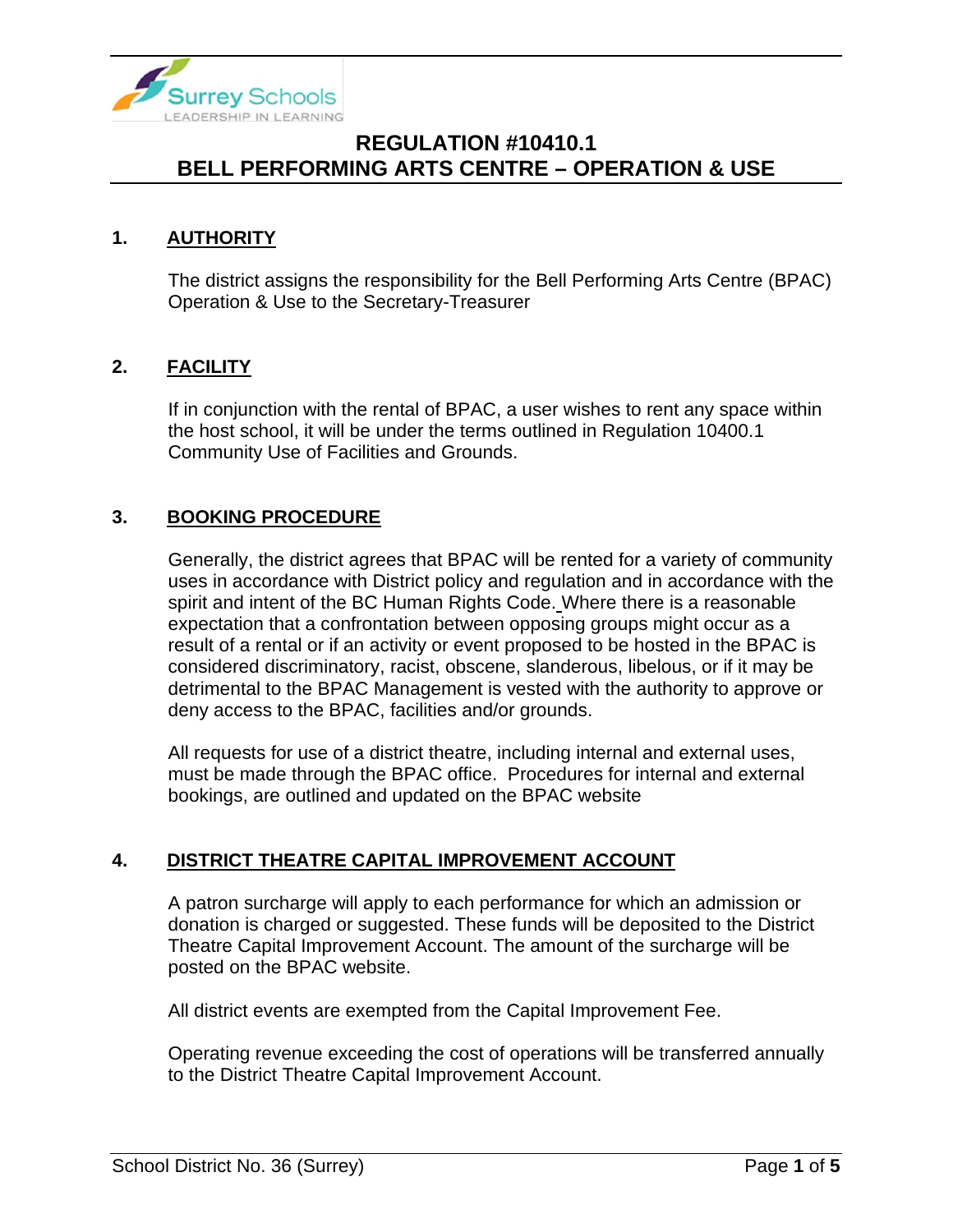

### **1. AUTHORITY**

The district assigns the responsibility for the Bell Performing Arts Centre (BPAC) Operation & Use to the Secretary-Treasurer

### **2. FACILITY**

If in conjunction with the rental of BPAC, a user wishes to rent any space within the host school, it will be under the terms outlined in Regulation 10400.1 Community Use of Facilities and Grounds.

### **3. BOOKING PROCEDURE**

Generally, the district agrees that BPAC will be rented for a variety of community uses in accordance with District policy and regulation and in accordance with the spirit and intent of the BC Human Rights Code. Where there is a reasonable expectation that a confrontation between opposing groups might occur as a result of a rental or if an activity or event proposed to be hosted in the BPAC is considered discriminatory, racist, obscene, slanderous, libelous, or if it may be detrimental to the BPAC Management is vested with the authority to approve or deny access to the BPAC, facilities and/or grounds.

All requests for use of a district theatre, including internal and external uses, must be made through the BPAC office. Procedures for internal and external bookings, are outlined and updated on the BPAC website

#### **4. DISTRICT THEATRE CAPITAL IMPROVEMENT ACCOUNT**

A patron surcharge will apply to each performance for which an admission or donation is charged or suggested. These funds will be deposited to the District Theatre Capital Improvement Account. The amount of the surcharge will be posted on the BPAC website.

All district events are exempted from the Capital Improvement Fee.

Operating revenue exceeding the cost of operations will be transferred annually to the District Theatre Capital Improvement Account.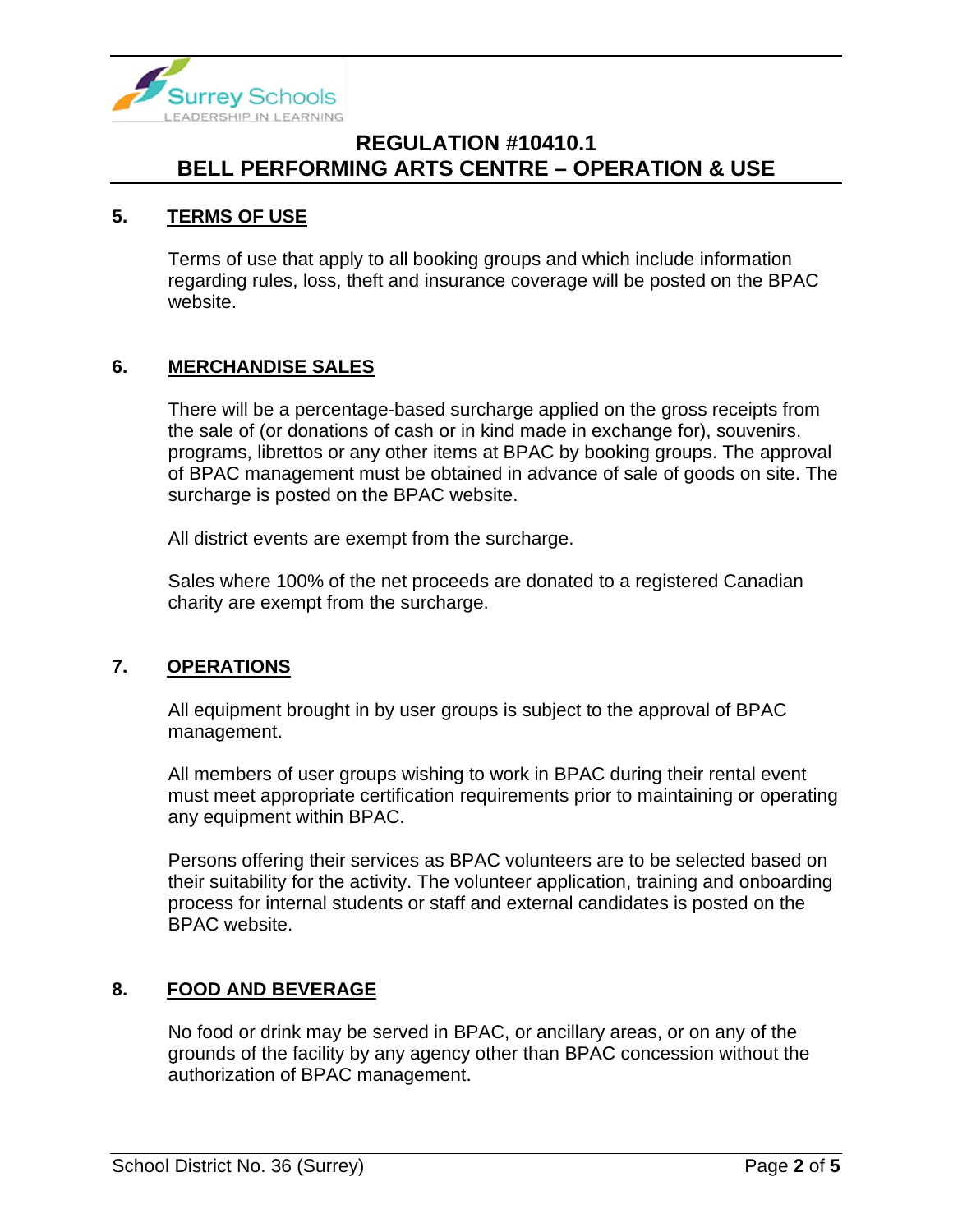

### **5. TERMS OF USE**

Terms of use that apply to all booking groups and which include information regarding rules, loss, theft and insurance coverage will be posted on the BPAC website.

#### **6. MERCHANDISE SALES**

There will be a percentage-based surcharge applied on the gross receipts from the sale of (or donations of cash or in kind made in exchange for), souvenirs, programs, librettos or any other items at BPAC by booking groups. The approval of BPAC management must be obtained in advance of sale of goods on site. The surcharge is posted on the BPAC website.

All district events are exempt from the surcharge.

Sales where 100% of the net proceeds are donated to a registered Canadian charity are exempt from the surcharge.

### **7. OPERATIONS**

All equipment brought in by user groups is subject to the approval of BPAC management.

All members of user groups wishing to work in BPAC during their rental event must meet appropriate certification requirements prior to maintaining or operating any equipment within BPAC.

Persons offering their services as BPAC volunteers are to be selected based on their suitability for the activity. The volunteer application, training and onboarding process for internal students or staff and external candidates is posted on the BPAC website.

#### **8. FOOD AND BEVERAGE**

No food or drink may be served in BPAC, or ancillary areas, or on any of the grounds of the facility by any agency other than BPAC concession without the authorization of BPAC management.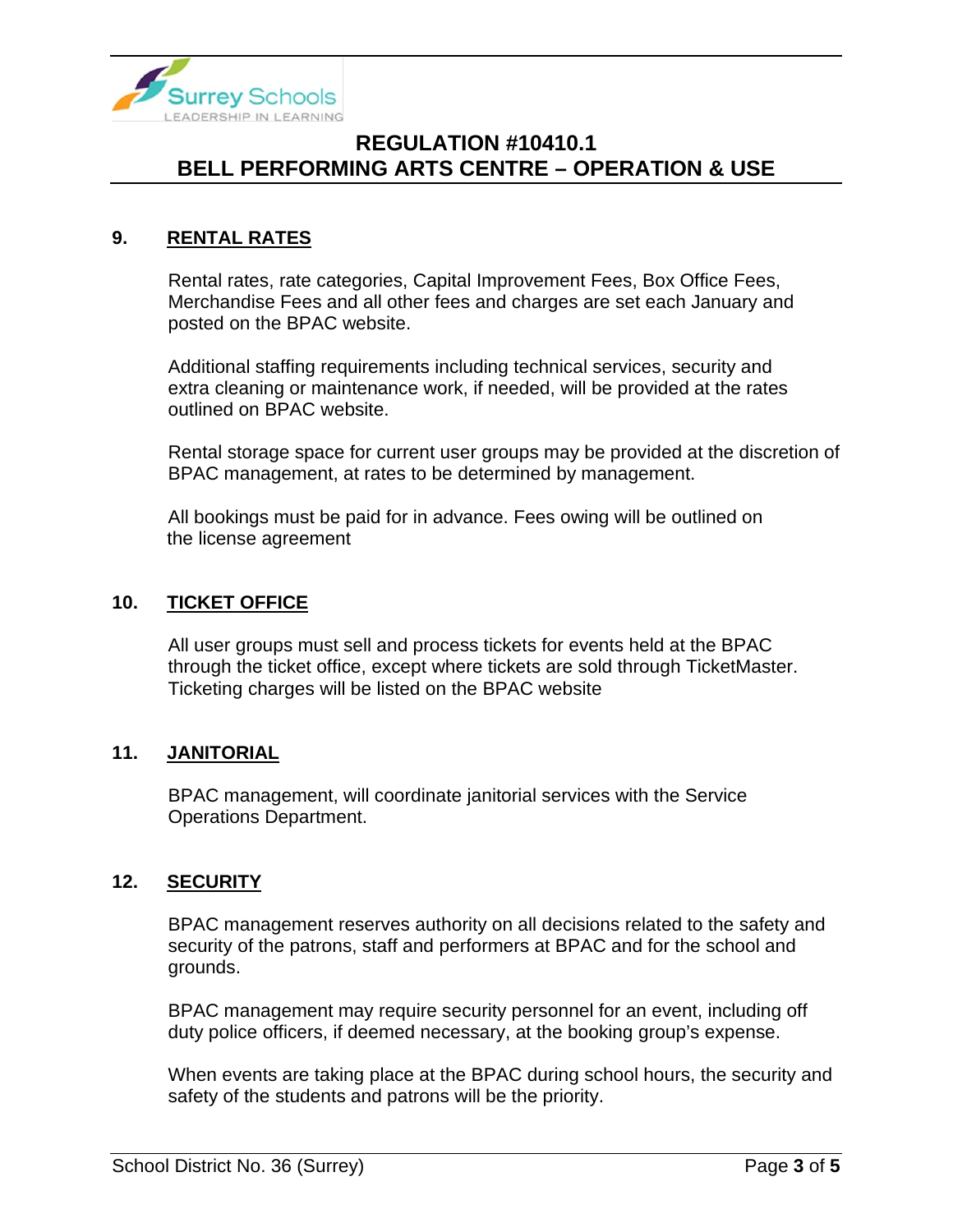

# **9. RENTAL RATES**

Rental rates, rate categories, Capital Improvement Fees, Box Office Fees, Merchandise Fees and all other fees and charges are set each January and posted on the BPAC website.

Additional staffing requirements including technical services, security and extra cleaning or maintenance work, if needed, will be provided at the rates outlined on BPAC website.

Rental storage space for current user groups may be provided at the discretion of BPAC management, at rates to be determined by management.

All bookings must be paid for in advance. Fees owing will be outlined on the license agreement

### **10. TICKET OFFICE**

All user groups must sell and process tickets for events held at the BPAC through the ticket office, except where tickets are sold through TicketMaster. Ticketing charges will be listed on the BPAC website

#### **11. JANITORIAL**

BPAC management, will coordinate janitorial services with the Service Operations Department.

### **12. SECURITY**

BPAC management reserves authority on all decisions related to the safety and security of the patrons, staff and performers at BPAC and for the school and grounds.

BPAC management may require security personnel for an event, including off duty police officers, if deemed necessary, at the booking group's expense.

When events are taking place at the BPAC during school hours, the security and safety of the students and patrons will be the priority.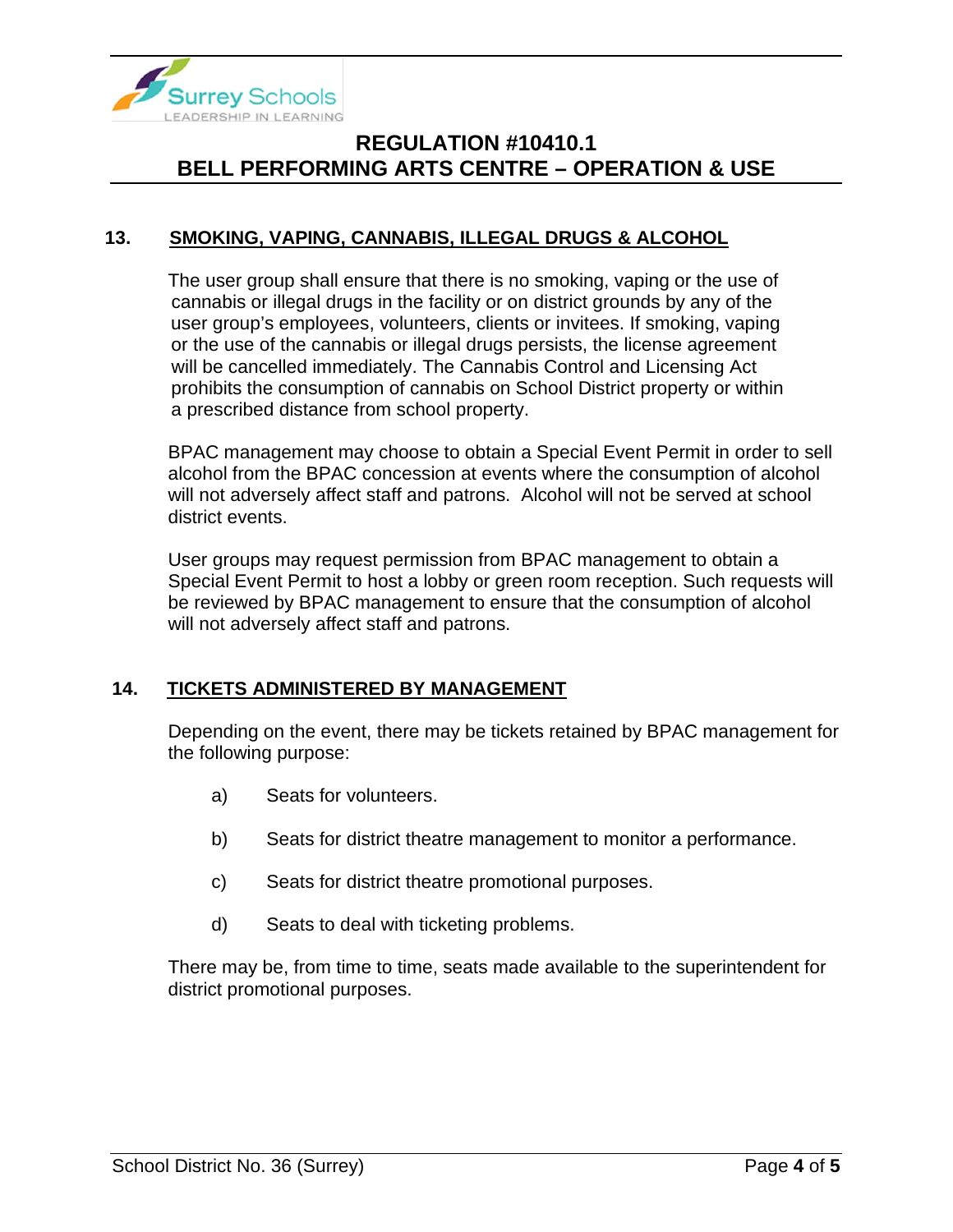

# **13. SMOKING, VAPING, CANNABIS, ILLEGAL DRUGS & ALCOHOL**

The user group shall ensure that there is no smoking, vaping or the use of cannabis or illegal drugs in the facility or on district grounds by any of the user group's employees, volunteers, clients or invitees. If smoking, vaping or the use of the cannabis or illegal drugs persists, the license agreement will be cancelled immediately. The Cannabis Control and Licensing Act prohibits the consumption of cannabis on School District property or within a prescribed distance from school property.

BPAC management may choose to obtain a Special Event Permit in order to sell alcohol from the BPAC concession at events where the consumption of alcohol will not adversely affect staff and patrons. Alcohol will not be served at school district events.

User groups may request permission from BPAC management to obtain a Special Event Permit to host a lobby or green room reception. Such requests will be reviewed by BPAC management to ensure that the consumption of alcohol will not adversely affect staff and patrons.

### **14. TICKETS ADMINISTERED BY MANAGEMENT**

Depending on the event, there may be tickets retained by BPAC management for the following purpose:

- a) Seats for volunteers.
- b) Seats for district theatre management to monitor a performance.
- c) Seats for district theatre promotional purposes.
- d) Seats to deal with ticketing problems.

There may be, from time to time, seats made available to the superintendent for district promotional purposes.